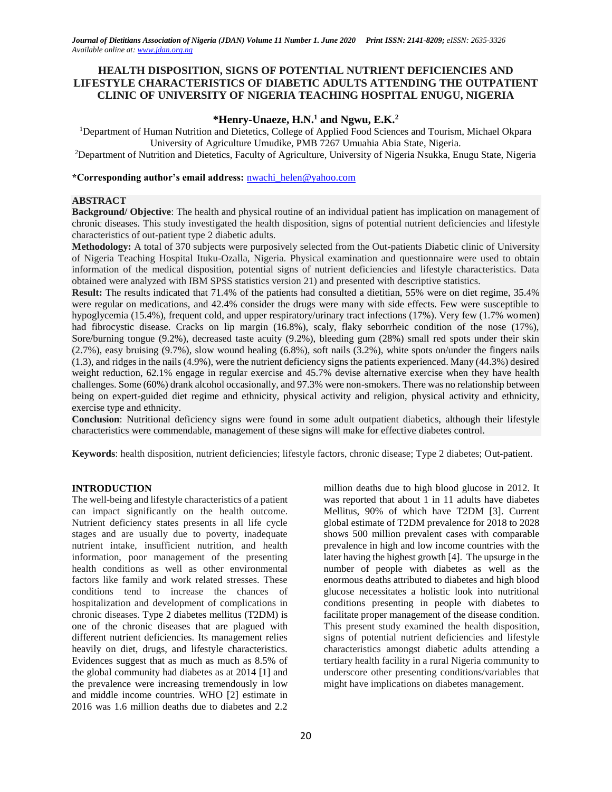# **HEALTH DISPOSITION, SIGNS OF POTENTIAL NUTRIENT DEFICIENCIES AND LIFESTYLE CHARACTERISTICS OF DIABETIC ADULTS ATTENDING THE OUTPATIENT CLINIC OF UNIVERSITY OF NIGERIA TEACHING HOSPITAL ENUGU, NIGERIA**

# **\*Henry-Unaeze, H.N.<sup>1</sup> and Ngwu, E.K.<sup>2</sup>**

<sup>1</sup>Department of Human Nutrition and Dietetics, College of Applied Food Sciences and Tourism, Michael Okpara University of Agriculture Umudike, PMB 7267 Umuahia Abia State, Nigeria.

<sup>2</sup>Department of Nutrition and Dietetics, Faculty of Agriculture, University of Nigeria Nsukka, Enugu State, Nigeria

**\*Corresponding author's email address:** [nwachi\\_helen@yahoo.com](mailto:nwachi_helen@yahoo.com)

#### **ABSTRACT**

**Background/ Objective**: The health and physical routine of an individual patient has implication on management of chronic diseases. This study investigated the health disposition, signs of potential nutrient deficiencies and lifestyle characteristics of out-patient type 2 diabetic adults.

**Methodology:** A total of 370 subjects were purposively selected from the Out-patients Diabetic clinic of University of Nigeria Teaching Hospital Ituku-Ozalla, Nigeria. Physical examination and questionnaire were used to obtain information of the medical disposition, potential signs of nutrient deficiencies and lifestyle characteristics. Data obtained were analyzed with IBM SPSS statistics version 21) and presented with descriptive statistics.

**Result:** The results indicated that 71.4% of the patients had consulted a dietitian, 55% were on diet regime, 35.4% were regular on medications, and 42.4% consider the drugs were many with side effects. Few were susceptible to hypoglycemia (15.4%), frequent cold, and upper respiratory/urinary tract infections (17%). Very few (1.7% women) had fibrocystic disease. Cracks on lip margin (16.8%), scaly, flaky seborrheic condition of the nose (17%), Sore/burning tongue (9.2%), decreased taste acuity (9.2%), bleeding gum (28%) small red spots under their skin (2.7%), easy bruising (9.7%), slow wound healing (6.8%), soft nails (3.2%), white spots on/under the fingers nails (1.3), and ridges in the nails (4.9%), were the nutrient deficiency signs the patients experienced. Many (44.3%) desired weight reduction, 62.1% engage in regular exercise and 45.7% devise alternative exercise when they have health challenges. Some (60%) drank alcohol occasionally, and 97.3% were non-smokers. There was no relationship between being on expert-guided diet regime and ethnicity, physical activity and religion, physical activity and ethnicity, exercise type and ethnicity.

**Conclusion**: Nutritional deficiency signs were found in some adult outpatient diabetics, although their lifestyle characteristics were commendable, management of these signs will make for effective diabetes control.

**Keywords**: health disposition, nutrient deficiencies; lifestyle factors, chronic disease; Type 2 diabetes; Out-patient.

#### **INTRODUCTION**

The well-being and lifestyle characteristics of a patient can impact significantly on the health outcome. Nutrient deficiency states presents in all life cycle stages and are usually due to poverty, inadequate nutrient intake, insufficient nutrition, and health information, poor management of the presenting health conditions as well as other environmental factors like family and work related stresses. These conditions tend to increase the chances of hospitalization and development of complications in chronic diseases. Type 2 diabetes mellitus (T2DM) is one of the chronic diseases that are plagued with different nutrient deficiencies. Its management relies heavily on diet, drugs, and lifestyle characteristics. Evidences suggest that as much as much as 8.5% of the global community had diabetes as at 2014 [1] and the prevalence were increasing tremendously in low and middle income countries. WHO [2] estimate in 2016 was 1.6 million deaths due to diabetes and 2.2

million deaths due to high blood glucose in 2012. It was reported that about 1 in 11 adults have diabetes Mellitus, 90% of which have T2DM [3]. Current global estimate of T2DM prevalence for 2018 to 2028 shows 500 million prevalent cases with comparable prevalence in high and low income countries with the later having the highest growth [4]. The upsurge in the number of people with diabetes as well as the enormous deaths attributed to diabetes and high blood glucose necessitates a holistic look into nutritional conditions presenting in people with diabetes to facilitate proper management of the disease condition. This present study examined the health disposition, signs of potential nutrient deficiencies and lifestyle characteristics amongst diabetic adults attending a tertiary health facility in a rural Nigeria community to underscore other presenting conditions/variables that might have implications on diabetes management.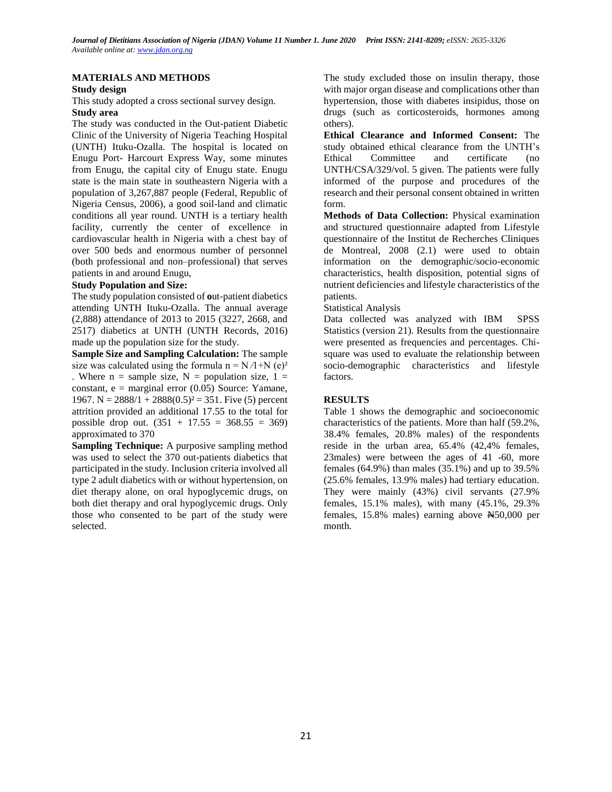### **MATERIALS AND METHODS**

#### **Study design**

This study adopted a cross sectional survey design.

### **Study area**

The study was conducted in the Out-patient Diabetic Clinic of the University of Nigeria Teaching Hospital (UNTH) Ituku-Ozalla. The hospital is located on Enugu Port- Harcourt Express Way, some minutes from Enugu, the capital city of Enugu state. Enugu state is the main state in southeastern Nigeria with a population of 3,267,887 people (Federal, Republic of Nigeria Census, 2006), a good soil-land and climatic conditions all year round. UNTH is a tertiary health facility, currently the center of excellence in cardiovascular health in Nigeria with a chest bay of over 500 beds and enormous number of personnel (both professional and non–professional) that serves patients in and around Enugu,

### **Study Population and Size:**

The study population consisted of **o**ut-patient diabetics attending UNTH Ituku-Ozalla. The annual average (2,888) attendance of 2013 to 2015 (3227, 2668, and 2517) diabetics at UNTH (UNTH Records, 2016) made up the population size for the study.

**Sample Size and Sampling Calculation:** The sample size was calculated using the formula n =  $N/1+N$  (e)<sup>2</sup> . Where  $n =$  sample size,  $N =$  population size,  $1 =$ constant,  $e =$  marginal error (0.05) Source: Yamane, 1967. N =  $2888/1 + 2888(0.5)^2 = 351$ . Five (5) percent attrition provided an additional 17.55 to the total for possible drop out.  $(351 + 17.55 = 368.55 = 369)$ approximated to 370

**Sampling Technique:** A purposive sampling method was used to select the 370 out-patients diabetics that participated in the study. Inclusion criteria involved all type 2 adult diabetics with or without hypertension, on diet therapy alone, on oral hypoglycemic drugs, on both diet therapy and oral hypoglycemic drugs. Only those who consented to be part of the study were selected.

The study excluded those on insulin therapy, those with major organ disease and complications other than hypertension, those with diabetes insipidus, those on drugs (such as corticosteroids, hormones among others).

**Ethical Clearance and Informed Consent:** The study obtained ethical clearance from the UNTH's Ethical Committee and certificate (no UNTH/CSA/329/vol. 5 given. The patients were fully informed of the purpose and procedures of the research and their personal consent obtained in written form.

**Methods of Data Collection:** Physical examination and structured questionnaire adapted from Lifestyle questionnaire of the Institut de Recherches Cliniques de Montreal, 2008 (2.1) were used to obtain information on the demographic/socio-economic characteristics, health disposition, potential signs of nutrient deficiencies and lifestyle characteristics of the patients.

### Statistical Analysis

Data collected was analyzed with IBM SPSS Statistics (version 21). Results from the questionnaire were presented as frequencies and percentages. Chisquare was used to evaluate the relationship between socio-demographic characteristics and lifestyle factors.

## **RESULTS**

Table 1 shows the demographic and socioeconomic characteristics of the patients. More than half (59.2%, 38.4% females, 20.8% males) of the respondents reside in the urban area, 65.4% (42,4% females, 23males) were between the ages of 41 -60, more females (64.9%) than males (35.1%) and up to 39.5% (25.6% females, 13.9% males) had tertiary education. They were mainly (43%) civil servants (27.9% females, 15.1% males), with many (45.1%, 29.3% females, 15.8% males) earning above N50,000 per month.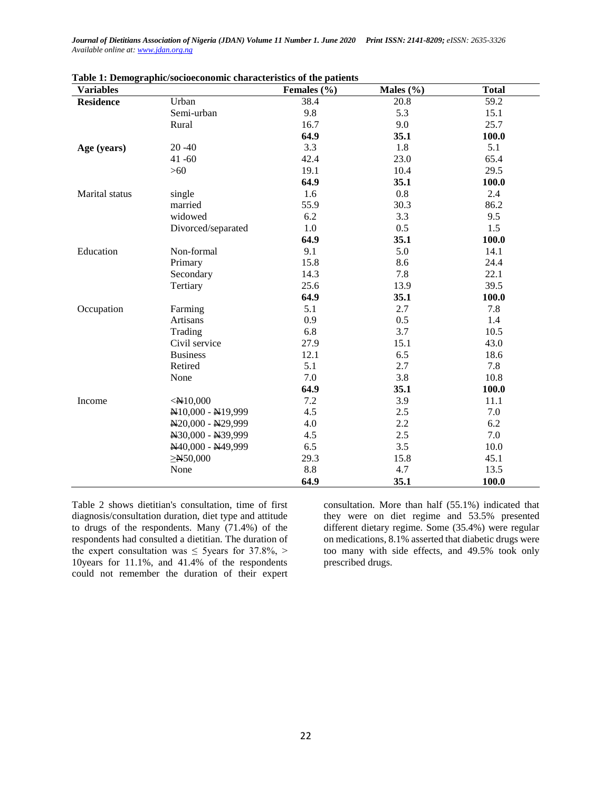*Journal of Dietitians Association of Nigeria (JDAN) Volume 11 Number 1. June 2020 Print ISSN: 2141-8209; eISSN: 2635-3326 Available online at[: www.jdan.org.ng](http://www.jdan.org.ng/)*

| <b>Variables</b> |                    | Females $(\% )$ | Males (%) | <b>Total</b> |
|------------------|--------------------|-----------------|-----------|--------------|
| <b>Residence</b> | Urban              | 38.4            | 20.8      | 59.2         |
|                  | Semi-urban         | 9.8             | 5.3       | 15.1         |
|                  | Rural              | 16.7            | 9.0       | 25.7         |
|                  |                    | 64.9            | 35.1      | 100.0        |
| Age (years)      | $20 - 40$          | 3.3             | 1.8       | 5.1          |
|                  | $41 - 60$          | 42.4            | 23.0      | 65.4         |
|                  | $>60$              | 19.1            | 10.4      | 29.5         |
|                  |                    | 64.9            | 35.1      | 100.0        |
| Marital status   | single             | 1.6             | 0.8       | 2.4          |
|                  | married            | 55.9            | 30.3      | 86.2         |
|                  | widowed            | 6.2             | 3.3       | 9.5          |
|                  | Divorced/separated | 1.0             | 0.5       | 1.5          |
|                  |                    | 64.9            | 35.1      | 100.0        |
| Education        | Non-formal         | 9.1             | 5.0       | 14.1         |
|                  | Primary            | 15.8            | 8.6       | 24.4         |
|                  | Secondary          | 14.3            | 7.8       | 22.1         |
|                  | Tertiary           | 25.6            | 13.9      | 39.5         |
|                  |                    | 64.9            | 35.1      | 100.0        |
| Occupation       | Farming            | 5.1             | 2.7       | 7.8          |
|                  | Artisans           | 0.9             | 0.5       | 1.4          |
|                  | Trading            | 6.8             | 3.7       | 10.5         |
|                  | Civil service      | 27.9            | 15.1      | 43.0         |
|                  | <b>Business</b>    | 12.1            | 6.5       | 18.6         |
|                  | Retired            | 5.1             | 2.7       | 7.8          |
|                  | None               | 7.0             | 3.8       | 10.8         |
|                  |                    | 64.9            | 35.1      | 100.0        |
| Income           | $<$ N10,000        | 7.2             | 3.9       | 11.1         |
|                  | N10,000 - N19,999  | 4.5             | 2.5       | 7.0          |
|                  | N20,000 - N29,999  | 4.0             | 2.2       | 6.2          |
|                  | N30,000 - N39,999  | 4.5             | 2.5       | 7.0          |
|                  | N40,000 - N49,999  | 6.5             | 3.5       | 10.0         |
|                  | $\geq N$ 50,000    | 29.3            | 15.8      | 45.1         |
|                  | None               | 8.8             | 4.7       | 13.5         |
|                  |                    | 64.9            | 35.1      | 100.0        |

Table 2 shows dietitian's consultation, time of first diagnosis/consultation duration, diet type and attitude to drugs of the respondents. Many (71.4%) of the respondents had consulted a dietitian. The duration of the expert consultation was  $\leq$  5years for 37.8%, > 10years for 11.1%, and 41.4% of the respondents could not remember the duration of their expert consultation. More than half (55.1%) indicated that they were on diet regime and 53.5% presented different dietary regime. Some (35.4%) were regular on medications, 8.1% asserted that diabetic drugs were too many with side effects, and 49.5% took only prescribed drugs.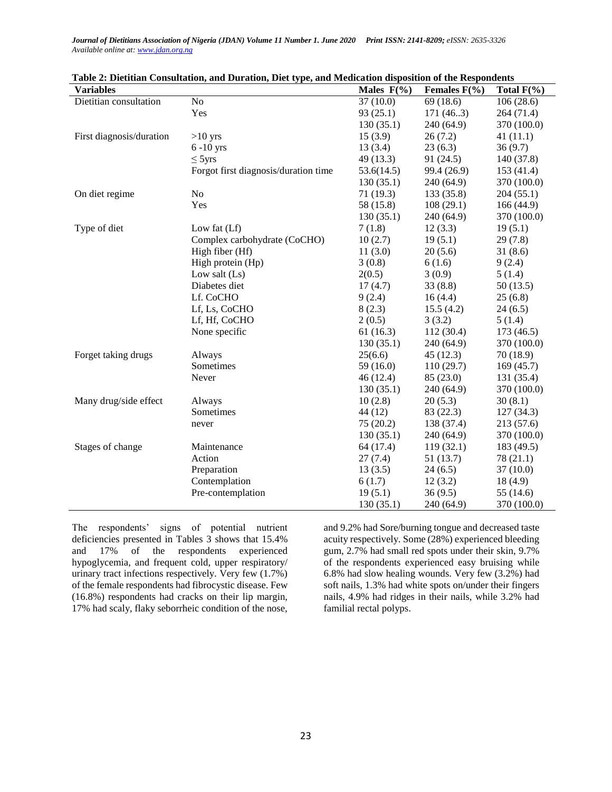*Journal of Dietitians Association of Nigeria (JDAN) Volume 11 Number 1. June 2020 Print ISSN: 2141-8209; eISSN: 2635-3326 Available online at[: www.jdan.org.ng](http://www.jdan.org.ng/)*

| <b>Variables</b>         |                                      | Males $F(\% )$ | Females $F(\% )$ | Total $F(\% )$ |
|--------------------------|--------------------------------------|----------------|------------------|----------------|
| Dietitian consultation   | N <sub>o</sub>                       | 37(10.0)       | 69(18.6)         | 106(28.6)      |
|                          | Yes                                  | 93(25.1)       | 171(46.3)        | 264(71.4)      |
|                          |                                      | 130(35.1)      | 240 (64.9)       | 370 (100.0)    |
| First diagnosis/duration | $>10$ yrs                            | 15(3.9)        | 26(7.2)          | 41(11.1)       |
|                          | $6-10$ yrs                           | 13(3.4)        | 23(6.3)          | 36(9.7)        |
|                          | $\leq$ 5 yrs                         | 49(13.3)       | 91(24.5)         | 140 (37.8)     |
|                          | Forgot first diagnosis/duration time | 53.6(14.5)     | 99.4 (26.9)      | 153(41.4)      |
|                          |                                      | 130(35.1)      | 240 (64.9)       | 370 (100.0)    |
| On diet regime           | N <sub>o</sub>                       | 71(19.3)       | 133(35.8)        | 204(55.1)      |
|                          | Yes                                  | 58 (15.8)      | 108(29.1)        | 166 (44.9)     |
|                          |                                      | 130(35.1)      | 240(64.9)        | 370 (100.0)    |
| Type of diet             | Low fat $(Lf)$                       | 7(1.8)         | 12(3.3)          | 19(5.1)        |
|                          | Complex carbohydrate (CoCHO)         | 10(2.7)        | 19(5.1)          | 29(7.8)        |
|                          | High fiber (Hf)                      | 11(3.0)        | 20(5.6)          | 31(8.6)        |
|                          | High protein (Hp)                    | 3(0.8)         | 6(1.6)           | 9(2.4)         |
|                          | Low salt $(Ls)$                      | 2(0.5)         | 3(0.9)           | 5(1.4)         |
|                          | Diabetes diet                        | 17(4.7)        | 33(8.8)          | 50(13.5)       |
|                          | Lf. CoCHO                            | 9(2.4)         | 16(4.4)          | 25(6.8)        |
|                          | Lf, Ls, CoCHO                        | 8(2.3)         | 15.5(4.2)        | 24(6.5)        |
|                          | Lf, Hf, CoCHO                        | 2(0.5)         | 3(3.2)           | 5(1.4)         |
|                          | None specific                        | 61(16.3)       | 112 (30.4)       | 173(46.5)      |
|                          |                                      | 130(35.1)      | 240(64.9)        | 370 (100.0)    |
| Forget taking drugs      | Always                               | 25(6.6)        | 45(12.3)         | 70(18.9)       |
|                          | Sometimes                            | 59(16.0)       | 110(29.7)        | 169(45.7)      |
|                          | Never                                | 46(12.4)       | 85(23.0)         | 131 (35.4)     |
|                          |                                      | 130(35.1)      | 240 (64.9)       | 370 (100.0)    |
| Many drug/side effect    | Always                               | 10(2.8)        | 20(5.3)          | 30(8.1)        |
|                          | Sometimes                            | 44 (12)        | 83 (22.3)        | 127(34.3)      |
|                          | never                                | 75(20.2)       | 138 (37.4)       | 213 (57.6)     |
|                          |                                      | 130(35.1)      | 240(64.9)        | 370 (100.0)    |
| Stages of change         | Maintenance                          | 64 (17.4)      | 119(32.1)        | 183 (49.5)     |
|                          | Action                               | 27(7.4)        | 51(13.7)         | 78 (21.1)      |
|                          | Preparation                          | 13(3.5)        | 24(6.5)          | 37(10.0)       |
|                          | Contemplation                        | 6(1.7)         | 12(3.2)          | 18(4.9)        |
|                          | Pre-contemplation                    | 19(5.1)        | 36(9.5)          | 55 (14.6)      |
|                          |                                      | 130(35.1)      | 240 (64.9)       | 370 (100.0)    |

| Table 2: Dietitian Consultation, and Duration, Diet type, and Medication disposition of the Respondents |  |  |  |  |
|---------------------------------------------------------------------------------------------------------|--|--|--|--|
|                                                                                                         |  |  |  |  |

The respondents' signs of potential nutrient deficiencies presented in Tables 3 shows that 15.4% and 17% of the respondents experienced hypoglycemia, and frequent cold, upper respiratory/ urinary tract infections respectively. Very few (1.7%) of the female respondents had fibrocystic disease. Few (16.8%) respondents had cracks on their lip margin, 17% had scaly, flaky seborrheic condition of the nose,

and 9.2% had Sore/burning tongue and decreased taste acuity respectively. Some (28%) experienced bleeding gum, 2.7% had small red spots under their skin, 9.7% of the respondents experienced easy bruising while 6.8% had slow healing wounds. Very few (3.2%) had soft nails, 1.3% had white spots on/under their fingers nails, 4.9% had ridges in their nails, while 3.2% had familial rectal polyps.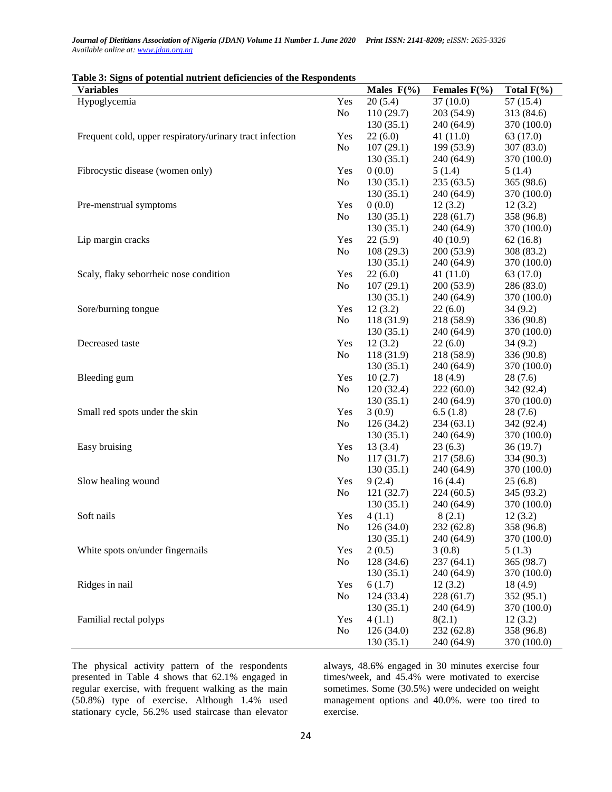| Journal of Dietitians Association of Nigeria (JDAN) Volume 11 Number 1. June 2020 Print ISSN: 2141-8209; eISSN: 2635-3326 |  |
|---------------------------------------------------------------------------------------------------------------------------|--|
| Available online at: www.jdan.org.ng                                                                                      |  |

| <b>Variables</b>                                         |                | Males $F(\% )$ | Females $F(\% )$ | Total $F(\% )$ |
|----------------------------------------------------------|----------------|----------------|------------------|----------------|
| Hypoglycemia                                             | Yes            | 20(5.4)        | 37(10.0)         | 57(15.4)       |
|                                                          | No             | 110(29.7)      | 203(54.9)        | 313 (84.6)     |
|                                                          |                | 130(35.1)      | 240 (64.9)       | 370 (100.0)    |
| Frequent cold, upper respiratory/urinary tract infection | Yes            | 22(6.0)        | 41(11.0)         | 63 (17.0)      |
|                                                          | No             | 107(29.1)      | 199 (53.9)       | 307 (83.0)     |
|                                                          |                | 130(35.1)      | 240 (64.9)       | 370 (100.0)    |
| Fibrocystic disease (women only)                         | Yes            | 0(0.0)         | 5(1.4)           | 5(1.4)         |
|                                                          | N <sub>0</sub> | 130(35.1)      | 235(63.5)        | 365 (98.6)     |
|                                                          |                | 130(35.1)      | 240(64.9)        | 370 (100.0)    |
| Pre-menstrual symptoms                                   | Yes            | 0(0.0)         | 12(3.2)          | 12(3.2)        |
|                                                          | N <sub>0</sub> | 130(35.1)      | 228(61.7)        | 358 (96.8)     |
|                                                          |                | 130(35.1)      | 240 (64.9)       | 370 (100.0)    |
| Lip margin cracks                                        | Yes            | 22(5.9)        | 40(10.9)         | 62(16.8)       |
|                                                          | N <sub>0</sub> | 108(29.3)      | 200(53.9)        | 308 (83.2)     |
|                                                          |                | 130(35.1)      | 240 (64.9)       | 370 (100.0)    |
| Scaly, flaky seborrheic nose condition                   | Yes            | 22(6.0)        | 41(11.0)         | 63 (17.0)      |
|                                                          | No             | 107(29.1)      | 200(53.9)        | 286 (83.0)     |
|                                                          |                | 130(35.1)      | 240 (64.9)       | 370 (100.0)    |
| Sore/burning tongue                                      | Yes            | 12(3.2)        | 22(6.0)          | 34(9.2)        |
|                                                          | N <sub>0</sub> | 118 (31.9)     | 218 (58.9)       | 336 (90.8)     |
|                                                          |                | 130(35.1)      | 240 (64.9)       | 370 (100.0)    |
| Decreased taste                                          | Yes            | 12(3.2)        | 22(6.0)          | 34(9.2)        |
|                                                          | N <sub>0</sub> | 118 (31.9)     | 218 (58.9)       | 336 (90.8)     |
|                                                          |                | 130(35.1)      | 240(64.9)        | 370 (100.0)    |
| Bleeding gum                                             | Yes            | 10(2.7)        | 18(4.9)          | 28(7.6)        |
|                                                          | N <sub>0</sub> | 120(32.4)      | 222(60.0)        | 342 (92.4)     |
|                                                          |                | 130(35.1)      | 240 (64.9)       | 370 (100.0)    |
| Small red spots under the skin                           | Yes            | 3(0.9)         | 6.5(1.8)         | 28(7.6)        |
|                                                          | N <sub>0</sub> | 126(34.2)      | 234(63.1)        | 342 (92.4)     |
|                                                          |                | 130(35.1)      | 240 (64.9)       | 370 (100.0)    |
| Easy bruising                                            | Yes            | 13(3.4)        | 23(6.3)          | 36(19.7)       |
|                                                          | N <sub>0</sub> | 117(31.7)      | 217 (58.6)       | 334 (90.3)     |
|                                                          |                | 130(35.1)      | 240 (64.9)       | 370 (100.0)    |
| Slow healing wound                                       | Yes            | 9(2.4)         | 16(4.4)          | 25(6.8)        |
|                                                          | N <sub>0</sub> | 121(32.7)      | 224(60.5)        | 345 (93.2)     |
|                                                          |                | 130(35.1)      | 240 (64.9)       | 370 (100.0)    |
| Soft nails                                               | Yes            | 4(1.1)         | 8(2.1)           | 12(3.2)        |
|                                                          | No             | 126(34.0)      | 232(62.8)        | 358 (96.8)     |
|                                                          |                | 130(35.1)      | 240 (64.9)       | 370 (100.0)    |
| White spots on/under fingernails                         | Yes            | 2(0.5)         | 3(0.8)           | 5(1.3)         |
|                                                          | N <sub>0</sub> | 128 (34.6)     | 237(64.1)        | 365 (98.7)     |
|                                                          |                | 130(35.1)      | 240 (64.9)       | 370 (100.0)    |
| Ridges in nail                                           | Yes            | 6(1.7)         | 12(3.2)          | 18(4.9)        |
|                                                          | No             | 124 (33.4)     | 228(61.7)        | 352(95.1)      |
|                                                          |                | 130(35.1)      | 240 (64.9)       | 370 (100.0)    |
| Familial rectal polyps                                   | Yes            | 4(1.1)         | 8(2.1)           | 12(3.2)        |
|                                                          | N <sub>0</sub> | 126(34.0)      | 232 (62.8)       | 358 (96.8)     |
|                                                          |                | 130(35.1)      | 240 (64.9)       | 370 (100.0)    |

### **Table 3: Signs of potential nutrient deficiencies of the Respondents**

The physical activity pattern of the respondents presented in Table 4 shows that 62.1% engaged in regular exercise, with frequent walking as the main (50.8%) type of exercise. Although 1.4% used stationary cycle, 56.2% used staircase than elevator

always, 48.6% engaged in 30 minutes exercise four times/week, and 45.4% were motivated to exercise sometimes. Some (30.5%) were undecided on weight management options and 40.0%. were too tired to exercise.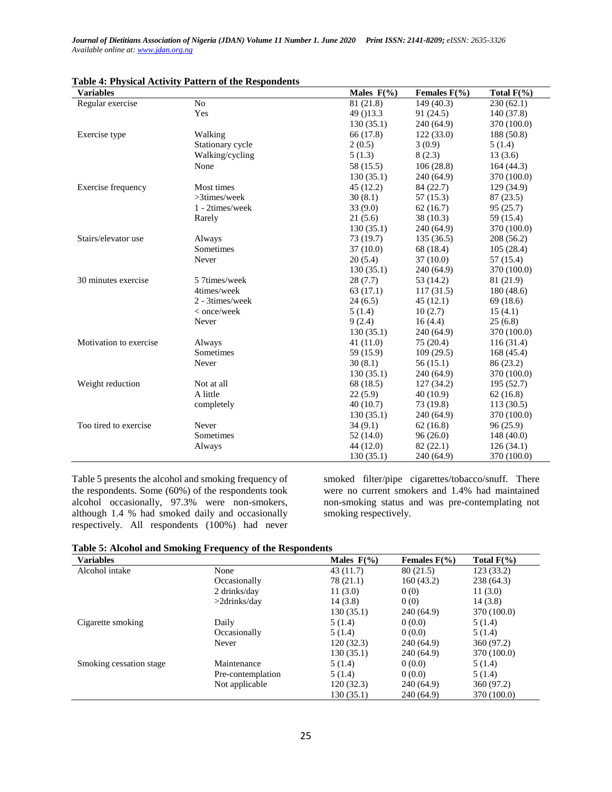*Journal of Dietitians Association of Nigeria (JDAN) Volume 11 Number 1. June 2020 Print ISSN: 2141-8209; eISSN: 2635-3326 Available online at[: www.jdan.org.ng](http://www.jdan.org.ng/)*

| <b>Variables</b>       |                  | Males $F(\% )$ | Females $F(\% )$ | Total $F(\% )$ |
|------------------------|------------------|----------------|------------------|----------------|
| Regular exercise       | No               | 81 (21.8)      | 149 (40.3)       | 230(62.1)      |
|                        | Yes              | 49 () 13.3     | 91 (24.5)        | 140 (37.8)     |
|                        |                  | 130(35.1)      | 240 (64.9)       | 370 (100.0)    |
| Exercise type          | Walking          | 66 (17.8)      | 122(33.0)        | 188(50.8)      |
|                        | Stationary cycle | 2(0.5)         | 3(0.9)           | 5(1.4)         |
|                        | Walking/cycling  | 5(1.3)         | 8(2.3)           | 13(3.6)        |
|                        | None             | 58 (15.5)      | 106(28.8)        | 164(44.3)      |
|                        |                  | 130(35.1)      | 240 (64.9)       | 370 (100.0)    |
| Exercise frequency     | Most times       | 45(12.2)       | 84 (22.7)        | 129(34.9)      |
|                        | $>3$ times/week  | 30(8.1)        | 57 (15.3)        | 87 (23.5)      |
|                        | 1 - 2times/week  | 33(9.0)        | 62(16.7)         | 95(25.7)       |
|                        | Rarely           | 21(5.6)        | 38 (10.3)        | 59 (15.4)      |
|                        |                  | 130(35.1)      | 240 (64.9)       | 370 (100.0)    |
| Stairs/elevator use    | Always           | 73 (19.7)      | 135(36.5)        | 208 (56.2)     |
|                        | Sometimes        | 37(10.0)       | 68 (18.4)        | 105(28.4)      |
|                        | Never            | 20(5.4)        | 37(10.0)         | 57 (15.4)      |
|                        |                  | 130(35.1)      | 240 (64.9)       | 370 (100.0)    |
| 30 minutes exercise    | 5 7times/week    | 28(7.7)        | 53 (14.2)        | 81 (21.9)      |
|                        | 4times/week      | 63(17.1)       | 117(31.5)        | 180(48.6)      |
|                        | 2 - 3times/week  | 24(6.5)        | 45(12.1)         | 69(18.6)       |
|                        | < once/week      | 5(1.4)         | 10(2.7)          | 15(4.1)        |
|                        | Never            | 9(2.4)         | 16(4.4)          | 25(6.8)        |
|                        |                  | 130(35.1)      | 240 (64.9)       | 370 (100.0)    |
| Motivation to exercise | Always           | 41(11.0)       | 75 (20.4)        | 116(31.4)      |
|                        | Sometimes        | 59 (15.9)      | 109(29.5)        | 168(45.4)      |
|                        | Never            | 30(8.1)        | 56 (15.1)        | 86 (23.2)      |
|                        |                  | 130(35.1)      | 240 (64.9)       | 370 (100.0)    |
| Weight reduction       | Not at all       | 68 (18.5)      | 127(34.2)        | 195(52.7)      |
|                        | A little         | 22(5.9)        | 40(10.9)         | 62(16.8)       |
|                        | completely       | 40(10.7)       | 73 (19.8)        | 113(30.5)      |
|                        |                  | 130(35.1)      | 240 (64.9)       | 370 (100.0)    |
| Too tired to exercise  | Never            | 34(9.1)        | 62(16.8)         | 96(25.9)       |
|                        | Sometimes        | 52(14.0)       | 96(26.0)         | 148(40.0)      |
|                        | Always           | 44 (12.0)      | 82(22.1)         | 126(34.1)      |
|                        |                  | 130(35.1)      | 240 (64.9)       | 370 (100.0)    |

| Table 4: Physical Activity Pattern of the Respondents |  |  |
|-------------------------------------------------------|--|--|
|-------------------------------------------------------|--|--|

Table 5 presents the alcohol and smoking frequency of the respondents. Some (60%) of the respondents took alcohol occasionally, 97.3% were non-smokers, although 1.4 % had smoked daily and occasionally respectively. All respondents (100%) had never

smoked filter/pipe cigarettes/tobacco/snuff. There were no current smokers and 1.4% had maintained non-smoking status and was pre-contemplating not smoking respectively.

| <b>Table 5: Alcohol and Smoking Frequency of the Respondents</b> |  |  |  |  |  |  |  |  |  |  |  |  |  |
|------------------------------------------------------------------|--|--|--|--|--|--|--|--|--|--|--|--|--|
|------------------------------------------------------------------|--|--|--|--|--|--|--|--|--|--|--|--|--|

| <b>Variables</b>        |                   | Males $F(\% )$ | Females $F(\% )$ | Total $F(\% )$ |
|-------------------------|-------------------|----------------|------------------|----------------|
| Alcohol intake          | None              | 43(11.7)       | 80(21.5)         | 123(33.2)      |
|                         | Occasionally      | 78 (21.1)      | 160(43.2)        | 238 (64.3)     |
|                         | 2 drinks/day      | 11(3.0)        | 0(0)             | 11(3.0)        |
|                         | $>2$ drinks/day   | 14(3.8)        | 0(0)             | 14(3.8)        |
|                         |                   | 130(35.1)      | 240 (64.9)       | 370 (100.0)    |
| Cigarette smoking       | Daily             | 5(1.4)         | 0(0.0)           | 5(1.4)         |
|                         | Occasionally      | 5(1.4)         | 0(0.0)           | 5(1.4)         |
|                         | Never             | 120(32.3)      | 240 (64.9)       | 360 (97.2)     |
|                         |                   | 130(35.1)      | 240 (64.9)       | 370 (100.0)    |
| Smoking cessation stage | Maintenance       | 5(1.4)         | 0(0.0)           | 5(1.4)         |
|                         | Pre-contemplation | 5(1.4)         | 0(0.0)           | 5(1.4)         |
|                         | Not applicable    | 120(32.3)      | 240 (64.9)       | 360 (97.2)     |
|                         |                   | 130 (35.1)     | 240 (64.9)       | 370 (100.0)    |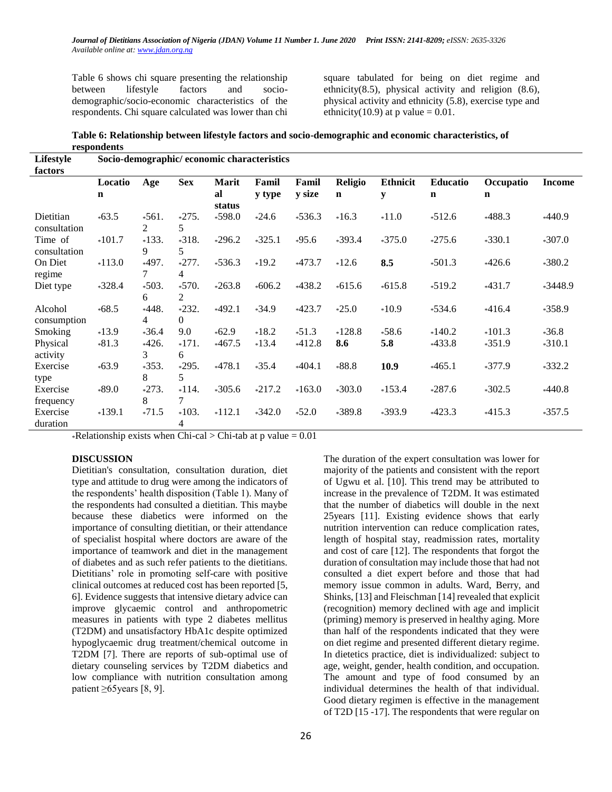Table 6 shows chi square presenting the relationship between lifestyle factors and sociodemographic/socio-economic characteristics of the respondents. Chi square calculated was lower than chi square tabulated for being on diet regime and ethnicity(8.5), physical activity and religion  $(8.6)$ , physical activity and ethnicity (5.8), exercise type and ethnicity(10.9) at p value  $= 0.01$ .

| Table 6: Relationship between lifestyle factors and socio-demographic and economic characteristics, of |
|--------------------------------------------------------------------------------------------------------|
| respondents                                                                                            |

| Lifestyle<br>factors      | Socio-demographic/economic characteristics |              |                           |              |          |          |                |                 |                 |           |           |
|---------------------------|--------------------------------------------|--------------|---------------------------|--------------|----------|----------|----------------|-----------------|-----------------|-----------|-----------|
|                           | Locatio                                    | Age          | <b>Sex</b>                | Marit        | Famil    | Famil    | <b>Religio</b> | <b>Ethnicit</b> | <b>Educatio</b> | Occupatio | Income    |
|                           | $\mathbf n$                                |              |                           | al<br>status | y type   | y size   | n              | y               | $\mathbf n$     | n         |           |
| Dietitian<br>consultation | $*63.5$                                    | $*561.$<br>2 | $*275.$<br>5              | $*598.0$     | $*24.6$  | $*536.3$ | $*16.3$        | $*11.0$         | $*512.6$        | $*488.3$  | $*440.9$  |
| Time of<br>consultation   | $*101.7$                                   | $*133.$<br>9 | $*318.$<br>5              | $*296.2$     | $*325.1$ | $*95.6$  | $*393.4$       | $*375.0$        | $*275.6$        | $*330.1$  | $*307.0$  |
| On Diet<br>regime         | $*113.0$                                   | $*497.$<br>7 | $*277.$<br>4              | $*536.3$     | $*19.2$  | $*473.7$ | $*12.6$        | 8.5             | $*501.3$        | $*426.6$  | $*380.2$  |
| Diet type                 | $*328.4$                                   | $*503.$<br>6 | $*570.$<br>2              | $*263.8$     | $*606.2$ | $*438.2$ | $*615.6$       | $*615.8$        | $*519.2$        | $*431.7$  | $*3448.9$ |
| Alcohol<br>consumption    | $*68.5$                                    | $*448.$<br>4 | $*232.$<br>$\overline{0}$ | $*492.1$     | $*34.9$  | $*423.7$ | $*25.0$        | $*10.9$         | $*534.6$        | $*416.4$  | $*358.9$  |
| Smoking                   | $*13.9$                                    | $*36.4$      | 9.0                       | $*62.9$      | $*18.2$  | $*51.3$  | $*128.8$       | $*58.6$         | $*140.2$        | $*101.3$  | $*36.8$   |
| Physical<br>activity      | $*81.3$                                    | $*426.$<br>3 | $*171.$<br>6              | $*467.5$     | $*13.4$  | $*412.8$ | 8.6            | 5.8             | $*433.8$        | $*351.9$  | $*310.1$  |
| Exercise<br>type          | $*63.9$                                    | $*353.$<br>8 | $*295.$<br>5              | $*478.1$     | $*35.4$  | $*404.1$ | $*88.8$        | 10.9            | $*465.1$        | $*377.9$  | $*332.2$  |
| Exercise<br>frequency     | $*89.0$                                    | $*273.$<br>8 | $*114.$<br>7              | $*305.6$     | $*217.2$ | $*163.0$ | $*303.0$       | $*153.4$        | $*287.6$        | $*302.5$  | $*440.8$  |
| Exercise<br>duration      | $*139.1$                                   | $*71.5$      | $*103.$<br>4              | $*112.1$     | $*342.0$ | $*52.0$  | $*389.8$       | $*393.9$        | $*423.3$        | $*415.3$  | $*357.5$  |

\*Relationship exists when Chi-cal > Chi-tab at p value =  $0.01$ 

#### **DISCUSSION**

Dietitian's consultation, consultation duration, diet type and attitude to drug were among the indicators of the respondents' health disposition (Table 1). Many of the respondents had consulted a dietitian. This maybe because these diabetics were informed on the importance of consulting dietitian, or their attendance of specialist hospital where doctors are aware of the importance of teamwork and diet in the management of diabetes and as such refer patients to the dietitians. Dietitians' role in promoting self-care with positive clinical outcomes at reduced cost has been reported [5, 6]. Evidence suggests that intensive dietary advice can improve glycaemic control and anthropometric measures in patients with type 2 diabetes mellitus (T2DM) and unsatisfactory HbA1c despite optimized hypoglycaemic drug treatment/chemical outcome in T2DM [7]. There are reports of sub-optimal use of dietary counseling services by T2DM diabetics and low compliance with nutrition consultation among patient ≥65years [8, 9].

The duration of the expert consultation was lower for majority of the patients and consistent with the report of Ugwu et al. [10]. This trend may be attributed to increase in the prevalence of T2DM. It was estimated that the number of diabetics will double in the next 25years [11]. Existing evidence shows that early nutrition intervention can reduce complication rates, length of hospital stay, readmission rates, mortality and cost of care [12]. The respondents that forgot the duration of consultation may include those that had not consulted a diet expert before and those that had memory issue common in adults. Ward, Berry, and Shinks, [13] and Fleischman [14] revealed that explicit (recognition) memory declined with age and implicit (priming) memory is preserved in healthy aging. More than half of the respondents indicated that they were on diet regime and presented different dietary regime. In dietetics practice, diet is individualized: subject to age, weight, gender, health condition, and occupation. The amount and type of food consumed by an individual determines the health of that individual. Good dietary regimen is effective in the management of T2D [15 -17]. The respondents that were regular on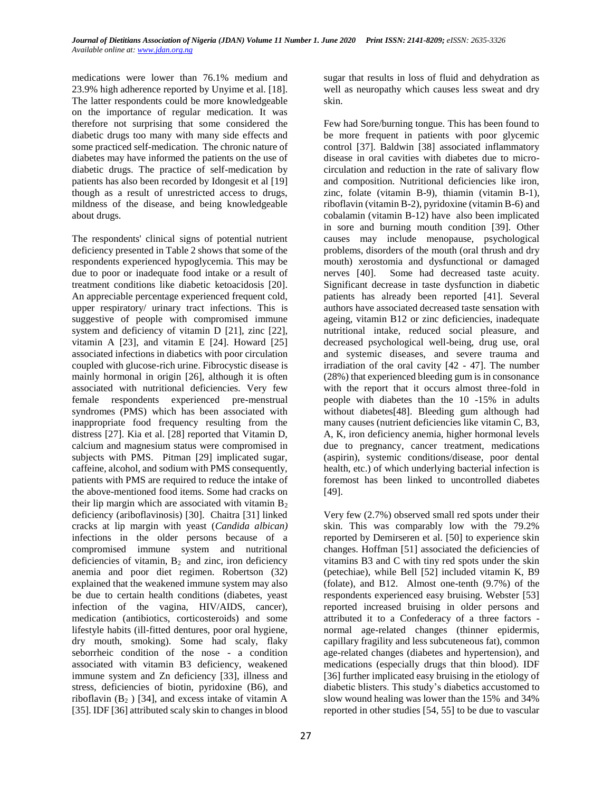medications were lower than 76.1% medium and 23.9% high adherence reported by Unyime et al. [18]. The latter respondents could be more knowledgeable on the importance of regular medication. It was therefore not surprising that some considered the diabetic drugs too many with many side effects and some practiced self-medication. The chronic nature of diabetes may have informed the patients on the use of diabetic drugs. The practice of self-medication by patients has also been recorded by Idongesit et al [19] though as a result of unrestricted access to drugs, mildness of the disease, and being knowledgeable about drugs.

The respondents' clinical signs of potential nutrient deficiency presented in Table 2 shows that some of the respondents experienced hypoglycemia. This may be due to poor or inadequate food intake or a result of treatment conditions like diabetic ketoacidosis [20]. An appreciable percentage experienced frequent cold, upper respiratory/ urinary tract infections. This is suggestive of people with compromised immune system and deficiency of vitamin D [21], zinc [22], vitamin A [23], and vitamin E [24]. Howard [25] associated infections in diabetics with poor circulation coupled with glucose-rich urine. Fibrocystic disease is mainly hormonal in origin [26], although it is often associated with nutritional deficiencies. Very few female respondents experienced pre-menstrual syndromes (PMS) which has been associated with inappropriate food frequency resulting from the distress [27]. Kia et al. [28] reported that Vitamin D, calcium and magnesium status were compromised in subjects with PMS. Pitman [29] implicated sugar, caffeine, alcohol, and sodium with PMS consequently, patients with PMS are required to reduce the intake of the above-mentioned food items. Some had cracks on their lip margin which are associated with vitamin  $B_2$ deficiency (ariboflavinosis) [30]. Chaitra [31] linked cracks at lip margin with yeast (*Candida albican)* infections in the older persons because of a compromised immune system and nutritional deficiencies of vitamin,  $B_2$  and zinc, iron deficiency anemia and poor diet regimen. Robertson (32) explained that the weakened immune system may also be due to certain health conditions (diabetes, yeast infection of the vagina, HIV/AIDS, cancer), medication (antibiotics, corticosteroids) and some lifestyle habits (ill-fitted dentures, poor oral hygiene, dry mouth, smoking). Some had scaly, flaky seborrheic condition of the nose - a condition associated with vitamin B3 deficiency, weakened immune system and Zn deficiency [33], illness and stress, deficiencies of biotin, pyridoxine (B6), and riboflavin  $(B_2)$  [34], and excess intake of vitamin A [35]. IDF [36] attributed scaly skin to changes in blood

sugar that results in loss of fluid and dehydration as well as neuropathy which causes less sweat and dry skin.

Few had Sore/burning tongue. This has been found to be more frequent in patients with poor glycemic control [37]. Baldwin [38] associated inflammatory disease in oral cavities with diabetes due to microcirculation and reduction in the rate of salivary flow and composition. Nutritional deficiencies like iron, zinc, folate (vitamin B-9), thiamin (vitamin B-1), riboflavin (vitamin B-2), pyridoxine (vitamin B-6) and cobalamin (vitamin B-12) have also been implicated in sore and burning mouth condition [39]. Other causes may include menopause, psychological problems, disorders of the mouth (oral thrush and dry mouth) xerostomia and dysfunctional or damaged nerves [40]. Some had decreased taste acuity. Significant decrease in taste dysfunction in diabetic patients has already been reported [41]. Several authors have associated decreased taste sensation with ageing, vitamin B12 or zinc deficiencies, inadequate nutritional intake, reduced social pleasure, and decreased psychological well-being, drug use, oral and systemic diseases, and severe trauma and irradiation of the oral cavity [42 - 47]. The number (28%) that experienced bleeding gum is in consonance with the report that it occurs almost three-fold in people with diabetes than the 10 -15% in adults without diabetes[48]. Bleeding gum although had many causes (nutrient deficiencies like vitamin C, B3, A, K, iron deficiency anemia, higher hormonal levels due to pregnancy, cancer treatment, medications (aspirin), systemic conditions/disease, poor dental health, etc.) of which underlying bacterial infection is foremost has been linked to uncontrolled diabetes [49].

Very few (2.7%) observed small red spots under their skin. This was comparably low with the 79.2% reported by Demirseren et al. [50] to experience skin changes. Hoffman [51] associated the deficiencies of vitamins B3 and C with tiny red spots under the skin (petechiae), while Bell [52] included vitamin K, B9 (folate), and B12. Almost one-tenth (9.7%) of the respondents experienced easy bruising. Webster [53] reported increased bruising in older persons and attributed it to a Confederacy of a three factors normal age-related changes (thinner epidermis, capillary fragility and less subcuteneous fat), common age-related changes (diabetes and hypertension), and medications (especially drugs that thin blood). IDF [36] further implicated easy bruising in the etiology of diabetic blisters. This study's diabetics accustomed to slow wound healing was lower than the 15% and 34% reported in other studies [54, 55] to be due to vascular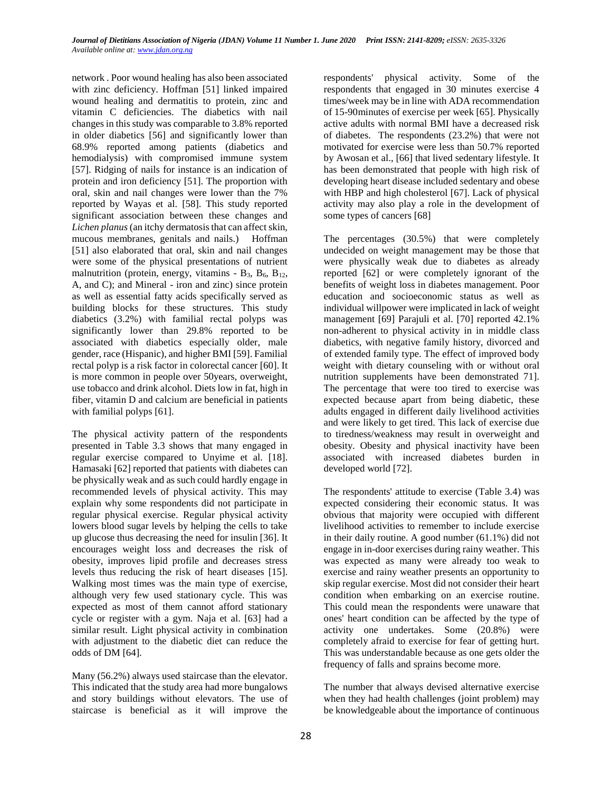network . Poor wound healing has also been associated with zinc deficiency. Hoffman [51] linked impaired wound healing and dermatitis to protein, zinc and vitamin C deficiencies. The diabetics with nail changes in this study was comparable to 3.8% reported in older diabetics [56] and significantly lower than 68.9% reported among patients (diabetics and hemodialysis) with compromised immune system [57]. Ridging of nails for instance is an indication of protein and iron deficiency [51]. The proportion with oral, skin and nail changes were lower than the 7% reported by Wayas et al. [58]. This study reported significant association between these changes and *Lichen planus* (an itchy dermatosis that can affect skin, mucous membranes, genitals and nails.) Hoffman [51] also elaborated that oral, skin and nail changes were some of the physical presentations of nutrient malnutrition (protein, energy, vitamins -  $B_3$ ,  $B_6$ ,  $B_{12}$ , A, and C); and Mineral - iron and zinc) since protein as well as essential fatty acids specifically served as building blocks for these structures. This study diabetics (3.2%) with familial rectal polyps was significantly lower than 29.8% reported to be associated with diabetics especially older, male gender, race (Hispanic), and higher BMI [59]. Familial rectal polyp is a risk factor in colorectal cancer [60]. It is more common in people over 50years, overweight, use tobacco and drink alcohol. Diets low in fat, high in fiber, vitamin D and calcium are beneficial in patients with familial polyps [61].

The physical activity pattern of the respondents presented in Table 3.3 shows that many engaged in regular exercise compared to Unyime et al. [18]. Hamasaki [62] reported that patients with diabetes can be physically weak and as such could hardly engage in recommended levels of physical activity. This may explain why some respondents did not participate in regular physical exercise. Regular physical activity lowers blood sugar levels by helping the cells to take up glucose thus decreasing the need for insulin [36]. It encourages weight loss and decreases the risk of obesity, improves lipid profile and decreases stress levels thus reducing the risk of heart diseases [15]. Walking most times was the main type of exercise, although very few used stationary cycle. This was expected as most of them cannot afford stationary cycle or register with a gym. Naja et al. [63] had a similar result. Light physical activity in combination with adjustment to the diabetic diet can reduce the odds of DM [64].

Many (56.2%) always used staircase than the elevator. This indicated that the study area had more bungalows and story buildings without elevators. The use of staircase is beneficial as it will improve the respondents' physical activity. Some of the respondents that engaged in 30 minutes exercise 4 times/week may be in line with ADA recommendation of 15-90minutes of exercise per week [65]. Physically active adults with normal BMI have a decreased risk of diabetes. The respondents (23.2%) that were not motivated for exercise were less than 50.7% reported by Awosan et al., [66] that lived sedentary lifestyle. It has been demonstrated that people with high risk of developing heart disease included sedentary and obese with HBP and high cholesterol [67]. Lack of physical activity may also play a role in the development of some types of cancers [68]

The percentages (30.5%) that were completely undecided on weight management may be those that were physically weak due to diabetes as already reported [62] or were completely ignorant of the benefits of weight loss in diabetes management. Poor education and socioeconomic status as well as individual willpower were implicated in lack of weight management [69] Parajuli et al. [70] reported 42.1% non-adherent to physical activity in in middle class diabetics, with negative family history, divorced and of extended family type. The effect of improved body weight with dietary counseling with or without oral nutrition supplements have been demonstrated 71]. The percentage that were too tired to exercise was expected because apart from being diabetic, these adults engaged in different daily livelihood activities and were likely to get tired. This lack of exercise due to tiredness/weakness may result in overweight and obesity. Obesity and physical inactivity have been associated with increased diabetes burden in developed world [72].

The respondents' attitude to exercise (Table 3.4) was expected considering their economic status. It was obvious that majority were occupied with different livelihood activities to remember to include exercise in their daily routine. A good number (61.1%) did not engage in in-door exercises during rainy weather. This was expected as many were already too weak to exercise and rainy weather presents an opportunity to skip regular exercise. Most did not consider their heart condition when embarking on an exercise routine. This could mean the respondents were unaware that ones' heart condition can be affected by the type of activity one undertakes. Some (20.8%) were completely afraid to exercise for fear of getting hurt. This was understandable because as one gets older the frequency of falls and sprains become more.

The number that always devised alternative exercise when they had health challenges (joint problem) may be knowledgeable about the importance of continuous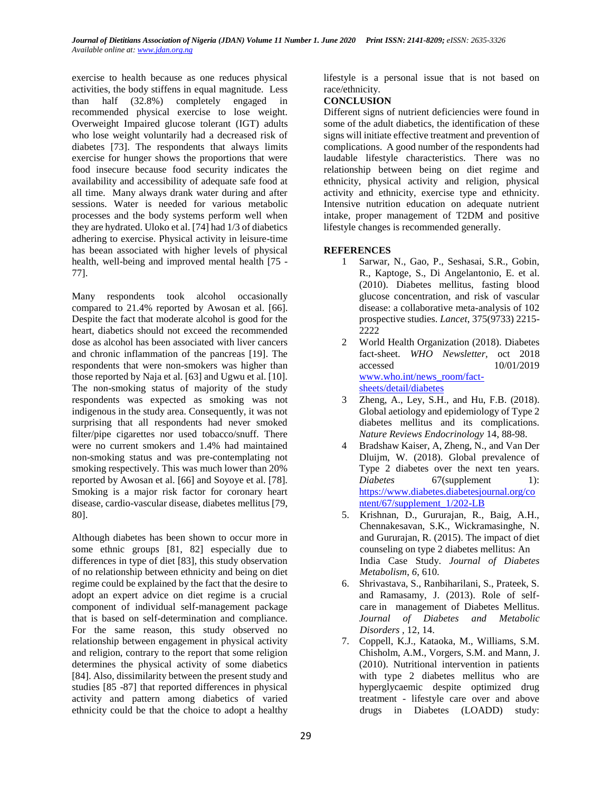exercise to health because as one reduces physical activities, the body stiffens in equal magnitude. Less than half (32.8%) completely engaged in recommended physical exercise to lose weight. Overweight Impaired glucose tolerant (IGT) adults who lose weight voluntarily had a decreased risk of diabetes [73]. The respondents that always limits exercise for hunger shows the proportions that were food insecure because food security indicates the availability and accessibility of adequate safe food at all time. Many always drank water during and after sessions. Water is needed for various metabolic processes and the body systems perform well when they are hydrated. Uloko et al. [74] had 1/3 of diabetics adhering to exercise. Physical activity in leisure-time has beean associated with higher levels of physical health, well-being and improved mental health [75 - 77].

Many respondents took alcohol occasionally compared to 21.4% reported by Awosan et al*.* [66]. Despite the fact that moderate alcohol is good for the heart, diabetics should not exceed the recommended dose as alcohol has been associated with liver cancers and chronic inflammation of the pancreas [19]. The respondents that were non-smokers was higher than those reported by Naja et al*.* [63] and Ugwu et al. [10]. The non-smoking status of majority of the study respondents was expected as smoking was not indigenous in the study area. Consequently, it was not surprising that all respondents had never smoked filter/pipe cigarettes nor used tobacco/snuff. There were no current smokers and 1.4% had maintained non-smoking status and was pre-contemplating not smoking respectively. This was much lower than 20% reported by Awosan et al. [66] and Soyoye et al. [78]. Smoking is a major risk factor for coronary heart disease, cardio-vascular disease, diabetes mellitus [79, 80].

Although diabetes has been shown to occur more in some ethnic groups [81, 82] especially due to differences in type of diet [83], this study observation of no relationship between ethnicity and being on diet regime could be explained by the fact that the desire to adopt an expert advice on diet regime is a crucial component of individual self-management package that is based on self-determination and compliance. For the same reason, this study observed no relationship between engagement in physical activity and religion, contrary to the report that some religion determines the physical activity of some diabetics [84]. Also, dissimilarity between the present study and studies [85 -87] that reported differences in physical activity and pattern among diabetics of varied ethnicity could be that the choice to adopt a healthy

lifestyle is a personal issue that is not based on race/ethnicity.

# **CONCLUSION**

Different signs of nutrient deficiencies were found in some of the adult diabetics, the identification of these signs will initiate effective treatment and prevention of complications. A good number of the respondents had laudable lifestyle characteristics. There was no relationship between being on diet regime and ethnicity, physical activity and religion, physical activity and ethnicity, exercise type and ethnicity. Intensive nutrition education on adequate nutrient intake, proper management of T2DM and positive lifestyle changes is recommended generally.

## **REFERENCES**

- 1 Sarwar, N., Gao, P., Seshasai, S.R., Gobin, R., Kaptoge, S., Di Angelantonio, E. et al. (2010). Diabetes mellitus, fasting blood glucose concentration, and risk of vascular disease: a collaborative meta-analysis of 102 prospective studies. *Lancet*, 375(9733) 2215- 2222
- 2 World Health Organization (2018). Diabetes fact-sheet. *WHO Newsletter,* oct 2018 accessed 10/01/2019 [www.who.int/news\\_room/fact](http://www.who.int/news_room/fact-sheets/detail/diabetes)[sheets/detail/diabetes](http://www.who.int/news_room/fact-sheets/detail/diabetes)
- 3 Zheng, A., Ley, S.H., and Hu, F.B. (2018). Global aetiology and epidemiology of Type 2 diabetes mellitus and its complications. *Nature Reviews Endocrinology* 14, 88-98.
- 4 Bradshaw Kaiser, A, Zheng, N., and Van Der Dluijm, W. (2018). Global prevalence of Type 2 diabetes over the next ten years. *Diabetes* 67(supplement 1): [https://www.diabetes.diabetesjournal.org/co](https://www.diabetes.diabetesjournal.org/content/67/supplement_1/202-LB) [ntent/67/supplement\\_1/202-LB](https://www.diabetes.diabetesjournal.org/content/67/supplement_1/202-LB)
- 5. Krishnan, D., Gururajan, R., Baig, A.H., Chennakesavan, S.K., Wickramasinghe, N. and Gururajan, R. (2015). The impact of diet counseling on type 2 diabetes mellitus: An India Case Study. *Journal of Diabetes Metabolism*, *6*, 610.
- 6. Shrivastava, S., Ranbiharilani, S., Prateek, S. and Ramasamy, J. (2013). Role of selfcare in management of Diabetes Mellitus. *Journal of Diabetes and Metabolic Disorders ,* 12, 14.
- 7. Coppell, K.J., Kataoka, M., Williams, S.M. Chisholm, A.M., Vorgers, S.M. and Mann, J. (2010). Nutritional intervention in patients with type 2 diabetes mellitus who are hyperglycaemic despite optimized drug treatment - lifestyle care over and above drugs in Diabetes (LOADD) study: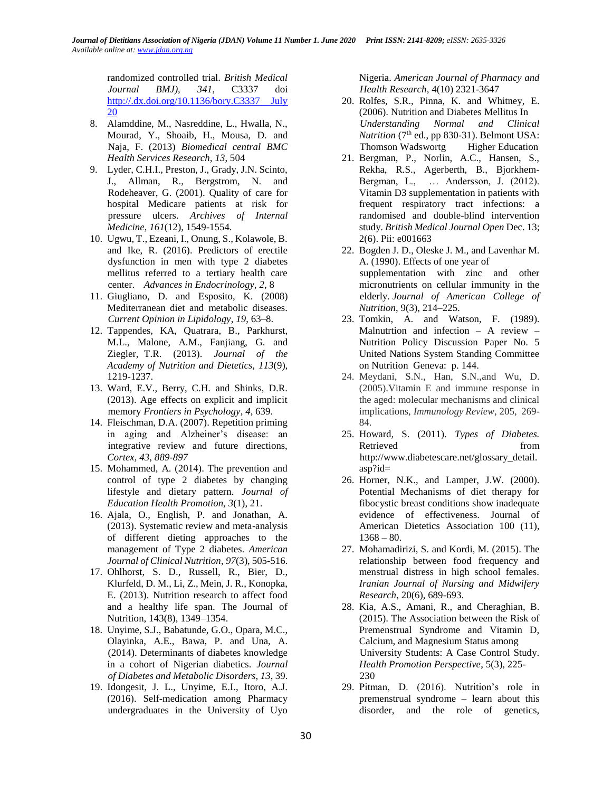randomized controlled trial. *British Medical Journal BMJ), 341*, C3337 doi [http://.dx.doi.org/10.1136/bory.C3337 July](http://.dx.doi.org/10.1136/bory.C3337%20July%2020)  [20](http://.dx.doi.org/10.1136/bory.C3337%20July%2020)

- 8. Alamddine, M., Nasreddine, L., Hwalla, N., Mourad, Y., Shoaib, H., Mousa, D. and Naja, F. (2013) *Biomedical central BMC Health Services Research, 13*, 504
- 9. Lyder, C.H.I., Preston, J., Grady, J.N. Scinto, J., Allman, R., Bergstrom, N. and Rodeheaver, G. (2001). Quality of care for hospital Medicare patients at risk for pressure ulcers. *Archives of Internal Medicine*, *161*(12), 1549-1554.
- 10. Ugwu, T., Ezeani, I., Onung, S., Kolawole, B. and Ike, R. (2016). Predictors of erectile dysfunction in men with type 2 diabetes mellitus referred to a tertiary health care center. *Advances in Endocrinology, 2*, 8
- 11. Giugliano, D. and Esposito, K. (2008) Mediterranean diet and metabolic diseases. *Current Opinion in Lipidology*, *19*, 63–8.
- 12. Tappendes, KA, Quatrara, B., Parkhurst, M.L., Malone, A.M., Fanjiang, G. and Ziegler, T.R. (2013). *Journal of the Academy of Nutrition and Dietetics, 113*(9), 1219-1237.
- 13. Ward, E.V., Berry, C.H. and Shinks, D.R. (2013). Age effects on explicit and implicit memory *Frontiers in Psychology*, *4*, 639.
- 14. Fleischman, D.A. (2007). Repetition priming in aging and Alzheiner's disease: an integrative review and future directions, *Cortex, 43*, *889-897*
- 15. Mohammed, A. (2014). The prevention and control of type 2 diabetes by changing lifestyle and dietary pattern. *Journal of Education Health Promotion, 3*(1), 21.
- 16. Ajala, O., English, P. and Jonathan, A. (2013). Systematic review and meta-analysis of different dieting approaches to the management of Type 2 diabetes. *American Journal of Clinical Nutrition*, *97*(3), 505-516.
- 17. Ohlhorst, S. D., Russell, R., Bier, D., Klurfeld, D. M., Li, Z., Mein, J. R., Konopka, E. (2013). Nutrition research to affect food and a healthy life span. The Journal of Nutrition, 143(8), 1349–1354.
- 18. Unyime, S.J., Babatunde, G.O., Opara, M.C., Olayinka, A.E., Bawa, P. and Una, A. (2014). Determinants of diabetes knowledge in a cohort of Nigerian diabetics. *Journal of Diabetes and Metabolic Disorders*, *13*, 39.
- 19. Idongesit, J. L., Unyime, E.I., Itoro, A.J. (2016). Self-medication among Pharmacy undergraduates in the University of Uyo

Nigeria. *American Journal of Pharmacy and Health Research,* 4(10) 2321-3647

- 20. Rolfes, S.R., Pinna, K. and Whitney, E. (2006). Nutrition and Diabetes Mellitus In *Understanding Normal and Clinical (* $7<sup>th</sup>$  *ed., pp 830-31). Belmont USA:* Thomson Wadswortg Higher Education
- 21. Bergman, P., Norlin, A.C., Hansen, S., Rekha, R.S., Agerberth, B., Bjorkhem-Bergman, L., … Andersson, J. (2012). Vitamin D3 supplementation in patients with frequent respiratory tract infections: a randomised and double-blind intervention study. *British Medical Journal Open* Dec. 13; 2(6). Pii: e001663
- 22. Bogden J. D., Oleske J. M., and Lavenhar M. A. (1990). Effects of one year of supplementation with zinc and other micronutrients on cellular immunity in the elderly. *Journal of American College of Nutrition*, 9(3), 214–225.
- 23. Tomkin, A. and Watson, F. (1989). Malnutrtion and infection – A review – Nutrition Policy Discussion Paper No. 5 United Nations System Standing Committee on Nutrition Geneva: p. 144.
- 24. Meydani, S.N., Han, S.N.,and Wu, D. (2005).Vitamin E and immune response in the aged: molecular mechanisms and clinical implications, *Immunology Review*, 205, 269- 84.
- 25. Howard, S. (2011). *Types of Diabetes.* Retrieved from [http://www.diabetescare.net/glossary\\_detail.](http://www.diabetescare.net/glossary_detail.asp?id) [asp?id=](http://www.diabetescare.net/glossary_detail.asp?id)
- 26. Horner, N.K., and Lamper, J.W. (2000). Potential Mechanisms of diet therapy for fibocystic breast conditions show inadequate evidence of effectiveness. Journal of American Dietetics Association 100 (11),  $1368 - 80.$
- 27. Mohamadirizi, S. and Kordi, M. (2015). The relationship between food frequency and menstrual distress in high school females. *Iranian Journal of Nursing and Midwifery Research*, 20(6), 689-693.
- 28. Kia, A.S., Amani, R., and Cheraghian, B. (2015). The Association between the Risk of Premenstrual Syndrome and Vitamin D, Calcium, and Magnesium Status among University Students: A Case Control Study. *Health Promotion Perspective*, 5(3), 225- 230
- 29. Pitman, D. (2016). Nutrition's role in premenstrual syndrome – learn about this disorder, and the role of genetics,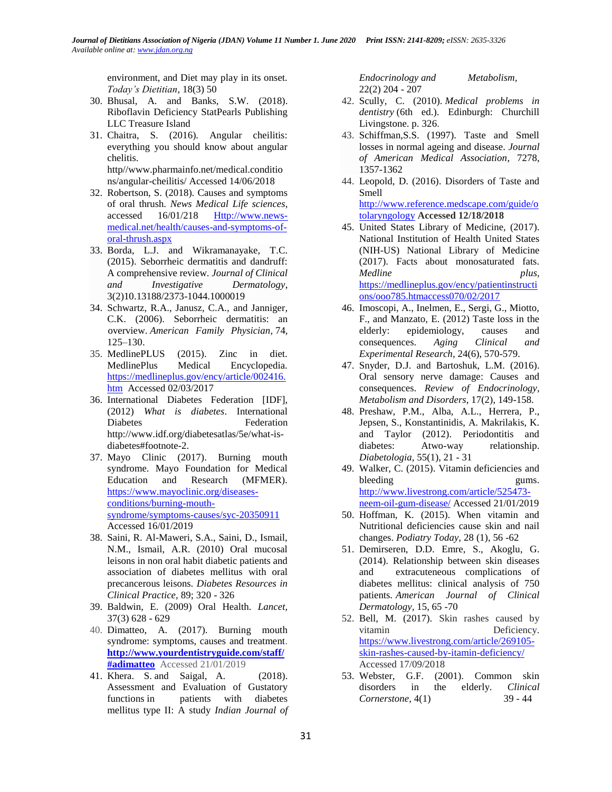environment, and Diet may play in its onset. *Today's Dietitian,* 18(3) 50

- 30. Bhusal, A. and Banks, S.W. (2018). Riboflavin Deficiency StatPearls Publishing LLC Treasure Island
- 31. Chaitra, S. (2016). Angular cheilitis: everything you should know about angular chelitis.

http//www.pharmainfo.net/medical.conditio ns/angular-cheilitis/ Accessed 14/06/2018

- 32. Robertson, S. (2018). Causes and symptoms of oral thrush. *News Medical Life sciences*, accessed 16/01/218 [Http://www.news](http://www.news-medical.net/health/causes-and-symptoms-of-oral-thrush.aspx)[medical.net/health/causes-and-symptoms-of](http://www.news-medical.net/health/causes-and-symptoms-of-oral-thrush.aspx)[oral-thrush.aspx](http://www.news-medical.net/health/causes-and-symptoms-of-oral-thrush.aspx)
- 33. Borda, L.J. and Wikramanayake, T.C. (2015). Seborrheic dermatitis and dandruff: A comprehensive review. *Journal of Clinical and Investigative Dermatology*, 3(2)10.13188/2373-1044.1000019
- 34. Schwartz, R.A., Janusz, C.A., and Janniger, C.K. (2006). Seborrheic dermatitis: an overview. *American Family Physician,* 74, 125–130.
- 35. MedlinePLUS (2015). Zinc in diet. MedlinePlus Medical Encyclopedia. [https://medlineplus.gov/ency/article/002416.](https://medlineplus.gov/ency/article/002416.htm) [htm](https://medlineplus.gov/ency/article/002416.htm) Accessed 02/03/2017
- 36. International Diabetes Federation [IDF], (2012) *What is diabetes*. International Diabetes Federation [http://www.idf.org/diabetesatlas/5e/what-is](http://www.idf.org/diabetesatlas/5e/what-is-diabetes#footnote-2)[diabetes#footnote-2.](http://www.idf.org/diabetesatlas/5e/what-is-diabetes#footnote-2)
- 37. Mayo Clinic (2017). Burning mouth syndrome. Mayo Foundation for Medical Education and Research (MFMER). [https://www.mayoclinic.org/diseases](https://www.mayoclinic.org/diseases-conditions/burning-mouth-syndrome/symptoms-causes/syc-20350911)[conditions/burning-mouth](https://www.mayoclinic.org/diseases-conditions/burning-mouth-syndrome/symptoms-causes/syc-20350911)[syndrome/symptoms-causes/syc-20350911](https://www.mayoclinic.org/diseases-conditions/burning-mouth-syndrome/symptoms-causes/syc-20350911) Accessed 16/01/2019
- 38. Saini, R. Al-Maweri, S.A., Saini, D., Ismail, N.M., Ismail, A.R. (2010) Oral mucosal leisons in non oral habit diabetic patients and association of diabetes mellitus with oral precancerous leisons. *Diabetes Resources in Clinical Practice,* 89; 320 - 326
- 39. Baldwin, E. (2009) Oral Health. *Lancet,* 37(3) 628 - 629
- 40. Dimatteo, A. (2017). Burning mouth syndrome: symptoms, causes and treatment. **[http://www.yourdentistryguide.com/staff/](http://www.yourdentistryguide.com/staff/#adimatteo) [#adimatteo](http://www.yourdentistryguide.com/staff/#adimatteo)** Accessed 21/01/2019
- 41. Khera. S. and Saigal, A. (2018). Assessment and Evaluation of Gustatory functions in patients with diabetes mellitus type II: A study *Indian Journal of*

*Endocrinology and Metabolism,* 22(2) 204 - 207

- 42. Scully, C. (2010). *Medical problems in dentistry* (6th ed.). Edinburgh: Churchill Livingstone. p. 326.
- 43. Schiffman,S.S. (1997). Taste and Smell losses in normal ageing and disease. *Journal of American Medical Association*, 7278, 1357-1362
- 44. Leopold, D. (2016). Disorders of Taste and Smell [http://www.reference.medscape.com/guide/o](http://www.reference.medscape.com/guide/otolaryngology) [tolaryngology](http://www.reference.medscape.com/guide/otolaryngology) **Accessed 12/18/2018**
- 45. United States Library of Medicine, (2017). National Institution of Health United States (NIH-US) National Library of Medicine (2017). Facts about monosaturated fats. *Medline plus,* [https://medlineplus.gov/ency/patientinstructi](https://medlineplus.gov/ency/patientinstructions/ooo785.htmaccess070/02/2017) [ons/ooo785.htmaccess070/02/2017](https://medlineplus.gov/ency/patientinstructions/ooo785.htmaccess070/02/2017)
- 46. Imoscopi, A., Inelmen, E., Sergi, G., Miotto, F., and Manzato, E. (2012) Taste loss in the elderly: epidemiology, causes and consequences. *Aging Clinical and Experimental Research,* 24(6), 570-579.
- 47. Snyder, D.J. and Bartoshuk, L.M. (2016). Oral sensory nerve damage: Causes and consequences. *Review of Endocrinology, Metabolism and Disorders*, 17(2), 149-158.
- 48. Preshaw, P.M., Alba, A.L., Herrera, P., Jepsen, S., Konstantinidis, A. Makrilakis, K. and Taylor (2012). Periodontitis and diabetes: Atwo-way relationship. *Diabetologia,* 55(1), 21 - 31
- 49. Walker, C. (2015). Vitamin deficiencies and bleeding gums. [http://www.livestrong.com/article/525473](http://www.livestrong.com/article/525473-neem-oil-gum-disease/) [neem-oil-gum-disease/](http://www.livestrong.com/article/525473-neem-oil-gum-disease/) Accessed 21/01/2019
- 50. Hoffman, K. (2015). When vitamin and Nutritional deficiencies cause skin and nail changes. *Podiatry Today,* 28 (1), 56 -62
- 51. Demirseren, D.D. Emre, S., Akoglu, G. (2014). Relationship between skin diseases and extracuteneous complications of diabetes mellitus: clinical analysis of 750 patients. *American Journal of Clinical Dermatology,* 15, 65 -70
- 52. Bell, M. (2017). Skin rashes caused by vitamin Deficiency. [https://www.livestrong.com/article/269105](https://www.livestrong.com/article/269105-skin-rashes-caused-by-itamin-deficiency/) [skin-rashes-caused-by-itamin-deficiency/](https://www.livestrong.com/article/269105-skin-rashes-caused-by-itamin-deficiency/) Accessed 17/09/2018
- 53. Webster, G.F. (2001). Common skin disorders in the elderly. *Clinical Cornerstone,* 4(1) 39 - 44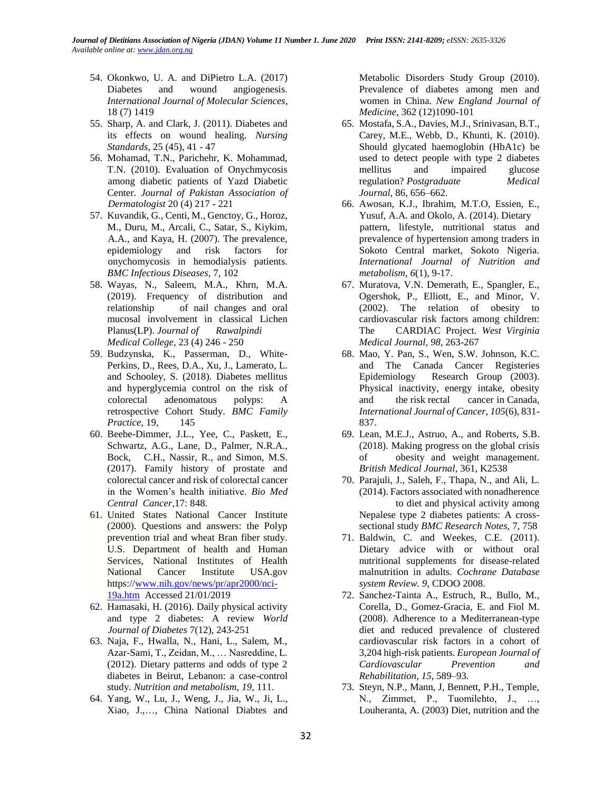- 54. Okonkwo, U. A. and DiPietro L.A. (2017) Diabetes and wound angiogenesis. *International Journal of Molecular Sciences,* 18 (7) 1419
- 55. Sharp, A. and Clark, J. (2011). Diabetes and its effects on wound healing. *Nursing Standards,* 25 (45), 41 - 47
- 56. Mohamad, T.N., Parichehr, K. Mohammad, T.N. (2010). Evaluation of Onychmycosis among diabetic patients of Yazd Diabetic Center. *Journal of Pakistan Association of Dermatologist* 20 (4) 217 - 221
- 57. Kuvandik, G., Centi, M., Genctoy, G., Horoz, M., Duru, M., Arcali, C., Satar, S., Kiykim, A.A., and Kaya, H. (2007). The prevalence, epidemiology and risk factors for onychomycosis in hemodialysis patients. *BMC Infectious Diseases*, 7, 102
- 58. Wayas, N., Saleem, M.A., Khrn, M.A. (2019). Frequency of distribution and relationship of nail changes and oral mucosal involvement in classical Lichen Planus(LP). *Journal of Rawalpindi Medical College,* 23 (4) 246 - 250
- 59. Budzynska, K., Passerman, D., White-Perkins, D., Rees, D.A., Xu, J., Lamerato, L. and Schooley, S. (2018). Diabetes mellitus and hyperglycemia control on the risk of colorectal adenomatous polyps: A retrospective Cohort Study. *BMC Family Practice,* 19, 145
- 60. Beebe-Dimmer, J.L., Yee, C., Paskett, E., Schwartz, A.G., Lane, D., Palmer, N.R.A., Bock, C.H., Nassir, R., and Simon, M.S. (2017). Family history of prostate and colorectal cancer and risk of colorectal cancer in the Women's health initiative. *Bio Med Central Cancer*,17: 848.
- 61. United States National Cancer Institute (2000). Questions and answers: the Polyp prevention trial and wheat Bran fiber study. U.S. Department of health and Human Services, National Institutes of Health National Cancer Institute USA.gov https:/[/www.nih.gov/news/pr/apr2000/nci-](http://www.nih.gov/news/pr/apr2000/nci-19a.htm)[19a.htm](http://www.nih.gov/news/pr/apr2000/nci-19a.htm) Accessed 21/01/2019
- 62. Hamasaki, H. (2016). Daily physical activity and type 2 diabetes: A review *World Journal of Diabetes* 7(12), 243-251
- 63. Naja, F., Hwalla, N., Hani, L., Salem, M., Azar-Sami, T., Zeidan, M., … Nasreddine, L. (2012). Dietary patterns and odds of type 2 diabetes in Beirut, Lebanon: a case-control study. *Nutrition and metabolism*, *19*, 111.
- 64. Yang, W., Lu, J., Weng, J., Jia, W., Ji, L., Xiao, J.,…, China National Diabtes and

Metabolic Disorders Study Group (2010). Prevalence of diabetes among men and women in China. *New England Journal of Medicine*, 362 (12)1090-101

- 65. Mostafa, S.A., Davies, M.J., Srinivasan, B.T., Carey, M.E., Webb, D., Khunti, K. (2010). Should glycated haemoglobin (HbA1c) be used to detect people with type 2 diabetes mellitus and impaired glucose regulation? *Postgraduate Medical Journal*, 86, 656–662.
- 66. Awosan, K.J., Ibrahim, M.T.O, Essien, E., Yusuf, A.A. and Okolo, A. (2014). Dietary pattern, lifestyle, nutritional status and prevalence of hypertension among traders in Sokoto Central market, Sokoto Nigeria. *International Journal of Nutrition and metabolism, 6*(1), 9-17.
- 67. Muratova, V.N. Demerath, E., Spangler, E., Ogershok, P., Elliott, E., and Minor, V. (2002). The relation of obesity to cardiovascular risk factors among children: The CARDIAC Project. *West Virginia Medical Journal, 98*, 263-267
- 68. Mao, Y. Pan, S., Wen, S.W. Johnson, K.C. and The Canada Cancer Registeries Epidemiology Research Group (2003). Physical inactivity, energy intake, obesity and the risk rectal cancer in Canada, *International Journal of Cancer, 105*(6), 831- 837.
- 69. Lean, M.E.J., Astruo, A., and Roberts, S.B. (2018). Making progress on the global crisis of obesity and weight management. *British Medical Journal*, 361, K2538
- 70. Parajuli, J., Saleh, F., Thapa, N., and Ali, L. (2014). Factors associated with nonadherence to diet and physical activity among Nepalese type 2 diabetes patients: A crosssectional study *BMC Research Notes,* 7, 758
- 71. Baldwin, C. and Weekes, C.E. (2011). Dietary advice with or without oral nutritional supplements for disease-related malnutrition in adults. *Cochrane Database system Review. 9*, CDOO 2008.
- 72. Sanchez-Tainta A., Estruch, R., Bullo, M., Corella, D., Gomez-Gracia, E. and Fiol M. (2008). Adherence to a Mediterranean-type diet and reduced prevalence of clustered cardiovascular risk factors in a cohort of 3,204 high-risk patients. *European Journal of Cardiovascular Prevention and Rehabilitation*, *15*, 589–93.
- 73. Steyn, N.P., Mann, J, Bennett, P.H., Temple, N., Zimmet, P., Tuomilehto, J., …, Louheranta, A. (2003) Diet, nutrition and the